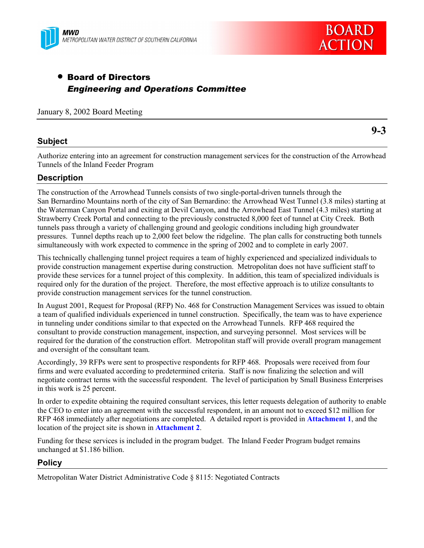



# • Board of Directors *Engineering and Operations Committee*

January 8, 2002 Board Meeting

## **Subject**

**9-3**

Authorize entering into an agreement for construction management services for the construction of the Arrowhead Tunnels of the Inland Feeder Program

## **Description**

The construction of the Arrowhead Tunnels consists of two single-portal-driven tunnels through the San Bernardino Mountains north of the city of San Bernardino: the Arrowhead West Tunnel (3.8 miles) starting at the Waterman Canyon Portal and exiting at Devil Canyon, and the Arrowhead East Tunnel (4.3 miles) starting at Strawberry Creek Portal and connecting to the previously constructed 8,000 feet of tunnel at City Creek. Both tunnels pass through a variety of challenging ground and geologic conditions including high groundwater pressures. Tunnel depths reach up to 2,000 feet below the ridgeline. The plan calls for constructing both tunnels simultaneously with work expected to commence in the spring of 2002 and to complete in early 2007.

This technically challenging tunnel project requires a team of highly experienced and specialized individuals to provide construction management expertise during construction. Metropolitan does not have sufficient staff to provide these services for a tunnel project of this complexity. In addition, this team of specialized individuals is required only for the duration of the project. Therefore, the most effective approach is to utilize consultants to provide construction management services for the tunnel construction.

In August 2001, Request for Proposal (RFP) No. 468 for Construction Management Services was issued to obtain a team of qualified individuals experienced in tunnel construction. Specifically, the team was to have experience in tunneling under conditions similar to that expected on the Arrowhead Tunnels. RFP 468 required the consultant to provide construction management, inspection, and surveying personnel. Most services will be required for the duration of the construction effort. Metropolitan staff will provide overall program management and oversight of the consultant team.

Accordingly, 39 RFPs were sent to prospective respondents for RFP 468. Proposals were received from four firms and were evaluated according to predetermined criteria. Staff is now finalizing the selection and will negotiate contract terms with the successful respondent. The level of participation by Small Business Enterprises in this work is 25 percent.

In order to expedite obtaining the required consultant services, this letter requests delegation of authority to enable the CEO to enter into an agreement with the successful respondent, in an amount not to exceed \$12 million for RFP 468 immediately after negotiations are completed. A detailed report is provided in **Attachment 1**, and the location of the project site is shown in **Attachment 2**.

Funding for these services is included in the program budget. The Inland Feeder Program budget remains unchanged at \$1.186 billion.

## **Policy**

Metropolitan Water District Administrative Code ß 8115: Negotiated Contracts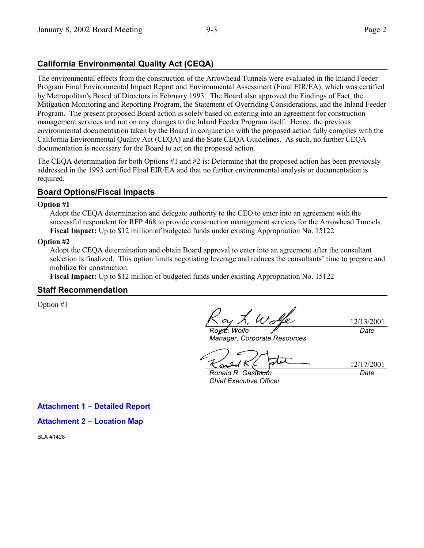## **California Environmental Quality Act (CEQA)**

The environmental effects from the construction of the Arrowhead Tunnels were evaluated in the Inland Feeder Program Final Environmental Impact Report and Environmental Assessment (Final EIR/EA), which was certified by Metropolitan's Board of Directors in February 1993. The Board also approved the Findings of Fact, the Mitigation Monitoring and Reporting Program, the Statement of Overriding Considerations, and the Inland Feeder Program. The present proposed Board action is solely based on entering into an agreement for construction management services and not on any changes to the Inland Feeder Program itself. Hence, the previous environmental documentation taken by the Board in conjunction with the proposed action fully complies with the California Environmental Quality Act (CEQA) and the State CEQA Guidelines. As such, no further CEQA documentation is necessary for the Board to act on the proposed action.

The CEQA determination for both Options #1 and #2 is: Determine that the proposed action has been previously addressed in the 1993 certified Final EIR/EA and that no further environmental analysis or documentation is required.

## **Board Options/Fiscal Impacts**

#### **Option #1**

Adopt the CEQA determination and delegate authority to the CEO to enter into an agreement with the successful respondent for RFP 468 to provide construction management services for the Arrowhead Tunnels. **Fiscal Impact:** Up to \$12 million of budgeted funds under existing Appropriation No. 15122

#### **Option #2**

Adopt the CEQA determination and obtain Board approval to enter into an agreement after the consultant selection is finalized. This option limits negotiating leverage and reduces the consultants' time to prepare and mobilize for construction.

**Fiscal Impact:** Up to \$12 million of budgeted funds under existing Appropriation No. 15122

#### **Staff Recommendation**

Option #1

*Roy L. Wolfe*

*Manager, Corporate Resources*

12/13/2001 *Date*

12/17/2001

*Ronald R. Gastelum Chief Executive Officer*

*Date*

**Attachment 1 - Detailed Report** 

**Attachment 2 - Location Map** 

BLA #1428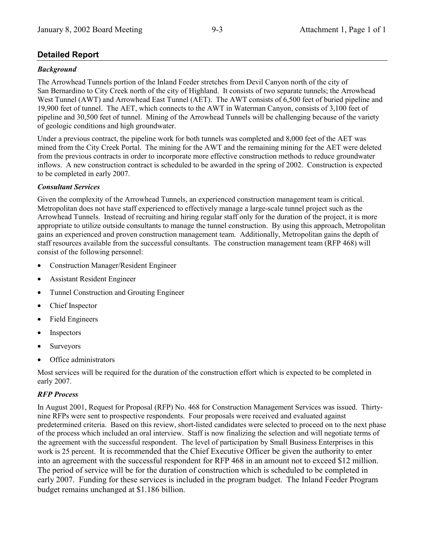## **Detailed Report**

## *Background*

The Arrowhead Tunnels portion of the Inland Feeder stretches from Devil Canyon north of the city of San Bernardino to City Creek north of the city of Highland. It consists of two separate tunnels; the Arrowhead West Tunnel (AWT) and Arrowhead East Tunnel (AET). The AWT consists of 6,500 feet of buried pipeline and 19,900 feet of tunnel. The AET, which connects to the AWT in Waterman Canyon, consists of 3,100 feet of pipeline and 30,500 feet of tunnel. Mining of the Arrowhead Tunnels will be challenging because of the variety of geologic conditions and high groundwater.

Under a previous contract, the pipeline work for both tunnels was completed and 8,000 feet of the AET was mined from the City Creek Portal. The mining for the AWT and the remaining mining for the AET were deleted from the previous contracts in order to incorporate more effective construction methods to reduce groundwater inflows. A new construction contract is scheduled to be awarded in the spring of 2002. Construction is expected to be completed in early 2007.

## *Consultant Services*

Given the complexity of the Arrowhead Tunnels, an experienced construction management team is critical. Metropolitan does not have staff experienced to effectively manage a large-scale tunnel project such as the Arrowhead Tunnels. Instead of recruiting and hiring regular staff only for the duration of the project, it is more appropriate to utilize outside consultants to manage the tunnel construction. By using this approach, Metropolitan gains an experienced and proven construction management team. Additionally, Metropolitan gains the depth of staff resources available from the successful consultants. The construction management team (RFP 468) will consist of the following personnel:

- Construction Manager/Resident Engineer
- Assistant Resident Engineer
- Tunnel Construction and Grouting Engineer
- Chief Inspector
- Field Engineers
- Inspectors
- Surveyors
- Office administrators

Most services will be required for the duration of the construction effort which is expected to be completed in early 2007.

## *RFP Process*

In August 2001, Request for Proposal (RFP) No. 468 for Construction Management Services was issued. Thirtynine RFPs were sent to prospective respondents. Four proposals were received and evaluated against predetermined criteria. Based on this review, short-listed candidates were selected to proceed on to the next phase of the process which included an oral interview. Staff is now finalizing the selection and will negotiate terms of the agreement with the successful respondent. The level of participation by Small Business Enterprises in this work is 25 percent. It is recommended that the Chief Executive Officer be given the authority to enter into an agreement with the successful respondent for RFP 468 in an amount not to exceed \$12 million. The period of service will be for the duration of construction which is scheduled to be completed in early 2007. Funding for these services is included in the program budget. The Inland Feeder Program budget remains unchanged at \$1.186 billion.